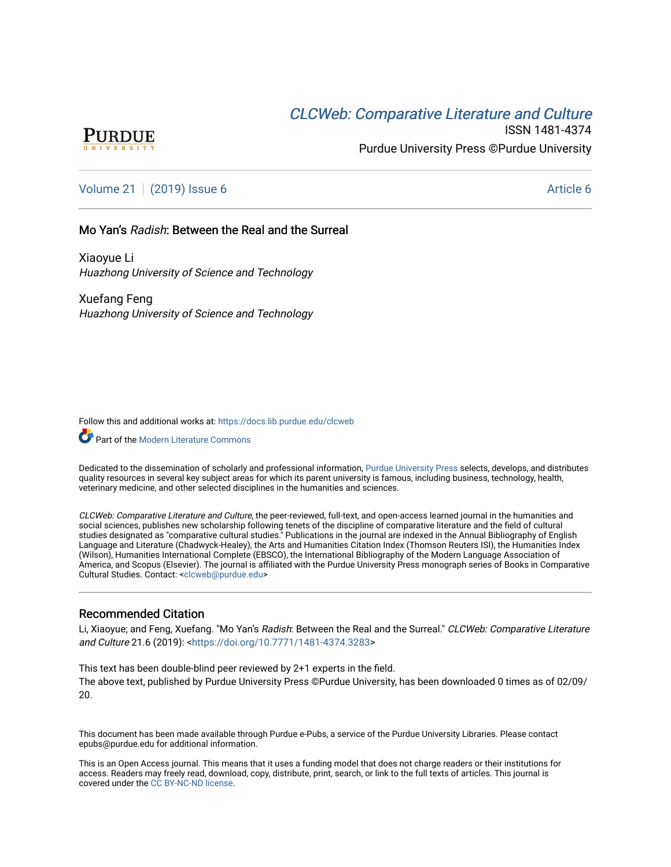# **CLCW[eb: Comparative Liter](https://docs.lib.purdue.edu/clcweb)ature and Culture**



ISSN 1481-4374 Purdue University Press ©Purdue University

## [Volume 21](https://docs.lib.purdue.edu/clcweb/vol21) | [\(2019\) Issue 6](https://docs.lib.purdue.edu/clcweb/vol21/iss6) Article 6

#### Mo Yan's Radish: Between the Real and the Surreal

Xiaoyue Li Huazhong University of Science and Technology

Xuefang Feng Huazhong University of Science and Technology

Follow this and additional works at: [https://docs.lib.purdue.edu/clcweb](https://docs.lib.purdue.edu/clcweb?utm_source=docs.lib.purdue.edu%2Fclcweb%2Fvol21%2Fiss6%2F6&utm_medium=PDF&utm_campaign=PDFCoverPages)

**C**<sup> $\bullet$ </sup> Part of the [Modern Literature Commons](http://network.bepress.com/hgg/discipline/1050?utm_source=docs.lib.purdue.edu%2Fclcweb%2Fvol21%2Fiss6%2F6&utm_medium=PDF&utm_campaign=PDFCoverPages)

Dedicated to the dissemination of scholarly and professional information, [Purdue University Press](http://www.thepress.purdue.edu/) selects, develops, and distributes quality resources in several key subject areas for which its parent university is famous, including business, technology, health, veterinary medicine, and other selected disciplines in the humanities and sciences.

CLCWeb: Comparative Literature and Culture, the peer-reviewed, full-text, and open-access learned journal in the humanities and social sciences, publishes new scholarship following tenets of the discipline of comparative literature and the field of cultural studies designated as "comparative cultural studies." Publications in the journal are indexed in the Annual Bibliography of English Language and Literature (Chadwyck-Healey), the Arts and Humanities Citation Index (Thomson Reuters ISI), the Humanities Index (Wilson), Humanities International Complete (EBSCO), the International Bibliography of the Modern Language Association of America, and Scopus (Elsevier). The journal is affiliated with the Purdue University Press monograph series of Books in Comparative Cultural Studies. Contact: [<clcweb@purdue.edu](mailto:clcweb@purdue.edu)>

### Recommended Citation

Li, Xiaoyue; and Feng, Xuefang. "Mo Yan's Radish: Between the Real and the Surreal." CLCWeb: Comparative Literature and Culture 21.6 (2019): [<https://doi.org/10.7771/1481-4374.3283>](https://doi.org/10.7771/1481-4374.3283)

This text has been double-blind peer reviewed by 2+1 experts in the field. The above text, published by Purdue University Press ©Purdue University, has been downloaded 0 times as of 02/09/ 20.

This document has been made available through Purdue e-Pubs, a service of the Purdue University Libraries. Please contact epubs@purdue.edu for additional information.

This is an Open Access journal. This means that it uses a funding model that does not charge readers or their institutions for access. Readers may freely read, download, copy, distribute, print, search, or link to the full texts of articles. This journal is covered under the [CC BY-NC-ND license.](https://creativecommons.org/licenses/by-nc-nd/4.0/)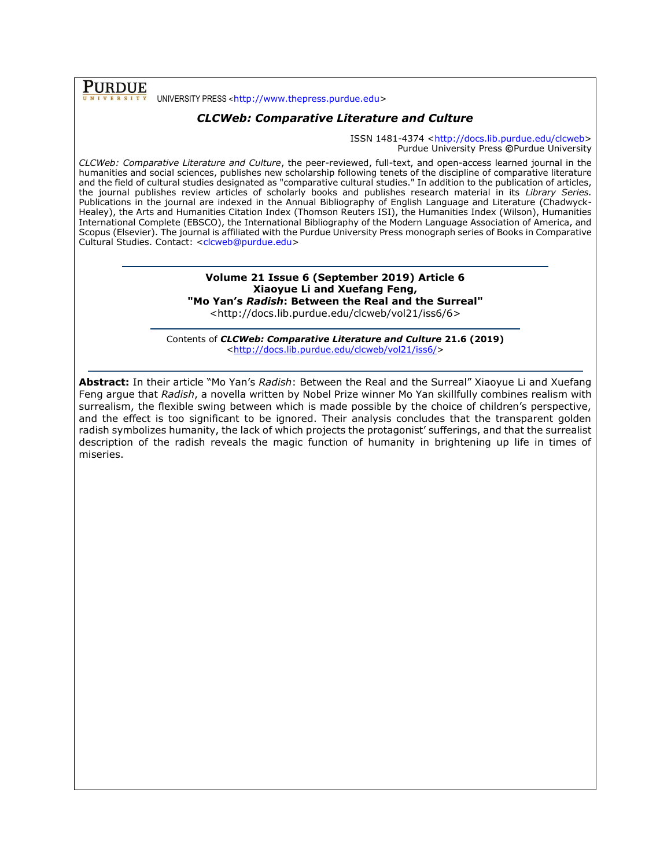**PURDUE** UNIVERSITY PRESS <[http://www.thepress.purdue.edu>](http://www.thepress.purdue.edu/)

### *CLCWeb: Comparative Literature and Culture*

ISSN 1481-4374 [<http://docs.lib.purdue.edu/clcweb>](http://docs.lib.purdue.edu/clcweb) Purdue University Press **©**Purdue University

*CLCWeb: Comparative Literature and Culture*, the peer-reviewed, full-text, and open-access learned journal in the humanities and social sciences, publishes new scholarship following tenets of the discipline of comparative literature and the field of cultural studies designated as "comparative cultural studies." In addition to the publication of articles, the journal publishes review articles of scholarly books and publishes research material in its *Library Series.*  Publications in the journal are indexed in the Annual Bibliography of English Language and Literature (Chadwyck-Healey), the Arts and Humanities Citation Index (Thomson Reuters ISI), the Humanities Index (Wilson), Humanities International Complete (EBSCO), the International Bibliography of the Modern Language Association of America, and Scopus (Elsevier). The journal is affiliated with the Purdue University Press monograph series of Books in Comparative Cultural Studies. Contact: [<clcweb@purdue.edu>](mailto:clcweb@purdue.edu)

### **Volume 21 Issue 6 (September 2019) Article 6 Xiaoyue Li and Xuefang Feng, "Mo Yan's** *Radish***: Between the Real and the Surreal"**

<http://docs.lib.purdue.edu/clcweb/vol21/iss6/6>

Contents of *CLCWeb: Comparative Literature and Culture* **21.6 (2019)** [<http://docs.lib.purdue.edu/clcweb/vol21/iss6/>](http://docs.lib.purdue.edu/clcweb/vol21/iss6/)

**Abstract:** In their article "Mo Yan's *Radish*: Between the Real and the Surreal" Xiaoyue Li and Xuefang Feng argue that *Radish*, a novella written by Nobel Prize winner Mo Yan skillfully combines realism with surrealism, the flexible swing between which is made possible by the choice of children's perspective, and the effect is too significant to be ignored. Their analysis concludes that the transparent golden radish symbolizes humanity, the lack of which projects the protagonist' sufferings, and that the surrealist description of the radish reveals the magic function of humanity in brightening up life in times of miseries.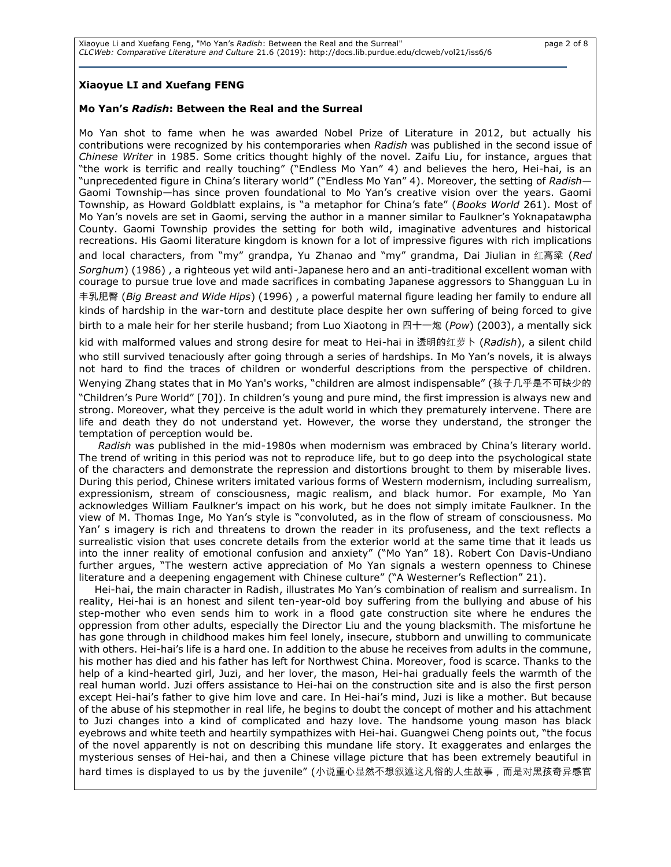### **Xiaoyue LI and Xuefang FENG**

#### **Mo Yan's** *Radish***: Between the Real and the Surreal**

Mo Yan shot to fame when he was awarded Nobel Prize of Literature in 2012, but actually his contributions were recognized by his contemporaries when *Radish* was published in the second issue of *Chinese Writer* in 1985. Some critics thought highly of the novel. Zaifu Liu, for instance, argues that "the work is terrific and really touching" ("Endless Mo Yan" 4) and believes the hero, Hei-hai, is an "unprecedented figure in China's literary world" ("Endless Mo Yan" 4). Moreover, the setting of *Radish*— Gaomi Township—has since proven foundational to Mo Yan's creative vision over the years. Gaomi Township, as Howard Goldblatt explains, is "a metaphor for China's fate" (*Books World* 261). Most of Mo Yan's novels are set in Gaomi, serving the author in a manner similar to Faulkner's Yoknapatawpha County. Gaomi Township provides the setting for both wild, imaginative adventures and historical recreations. His Gaomi literature kingdom is known for a lot of impressive figures with rich implications and local characters, from "my" grandpa, Yu Zhanao and "my" grandma, Dai Jiulian in 红高粱 (*Red Sorghum*) (1986) , a righteous yet wild anti-Japanese hero and an anti-traditional excellent woman with courage to pursue true love and made sacrifices in combating Japanese aggressors to Shangguan Lu in 丰乳肥臀 (*Big Breast and Wide Hips*) (1996) , a powerful maternal figure leading her family to endure all kinds of hardship in the war-torn and destitute place despite her own suffering of being forced to give birth to a male heir for her sterile husband; from Luo Xiaotong in 四十一炮 (*Pow*) (2003), a mentally sick

kid with malformed values and strong desire for meat to Hei-hai in 透明的红萝卜 (*Radish*), a silent child who still survived tenaciously after going through a series of hardships. In Mo Yan's novels, it is always not hard to find the traces of children or wonderful descriptions from the perspective of children. Wenying Zhang states that in Mo Yan's works, "children are almost indispensable" (孩子几乎是不可缺少的 "Children's Pure World" [70]). In children's young and pure mind, the first impression is always new and strong. Moreover, what they perceive is the adult world in which they prematurely intervene. There are life and death they do not understand yet. However, the worse they understand, the stronger the temptation of perception would be.

*Radish* was published in the mid-1980s when modernism was embraced by China's literary world. The trend of writing in this period was not to reproduce life, but to go deep into the psychological state of the characters and demonstrate the repression and distortions brought to them by miserable lives. During this period, Chinese writers imitated various forms of Western modernism, including surrealism, expressionism, stream of consciousness, magic realism, and black humor. For example, Mo Yan acknowledges William Faulkner's impact on his work, but he does not simply imitate Faulkner. In the view of M. Thomas Inge, Mo Yan's style is "convoluted, as in the flow of stream of consciousness. Mo Yan' s imagery is rich and threatens to drown the reader in its profuseness, and the text reflects a surrealistic vision that uses concrete details from the exterior world at the same time that it leads us into the inner reality of emotional confusion and anxiety" ("Mo Yan" 18). Robert Con Davis-Undiano further argues, "The western active appreciation of Mo Yan signals a western openness to Chinese literature and a deepening engagement with Chinese culture" ("A Westerner's Reflection" 21).

Hei-hai, the main character in Radish, illustrates Mo Yan's combination of realism and surrealism. In reality, Hei-hai is an honest and silent ten-year-old boy suffering from the bullying and abuse of his step-mother who even sends him to work in a flood gate construction site where he endures the oppression from other adults, especially the Director Liu and the young blacksmith. The misfortune he has gone through in childhood makes him feel lonely, insecure, stubborn and unwilling to communicate with others. Hei-hai's life is a hard one. In addition to the abuse he receives from adults in the commune, his mother has died and his father has left for Northwest China. Moreover, food is scarce. Thanks to the help of a kind-hearted girl, Juzi, and her lover, the mason, Hei-hai gradually feels the warmth of the real human world. Juzi offers assistance to Hei-hai on the construction site and is also the first person except Hei-hai's father to give him love and care. In Hei-hai's mind, Juzi is like a mother. But because of the abuse of his stepmother in real life, he begins to doubt the concept of mother and his attachment to Juzi changes into a kind of complicated and hazy love. The handsome young mason has black eyebrows and white teeth and heartily sympathizes with Hei-hai. Guangwei Cheng points out, "the focus of the novel apparently is not on describing this mundane life story. It exaggerates and enlarges the mysterious senses of Hei-hai, and then a Chinese village picture that has been extremely beautiful in hard times is displayed to us by the juvenile" (小说重心显然不想叙述这凡俗的人生故事,而是对黑孩奇异感官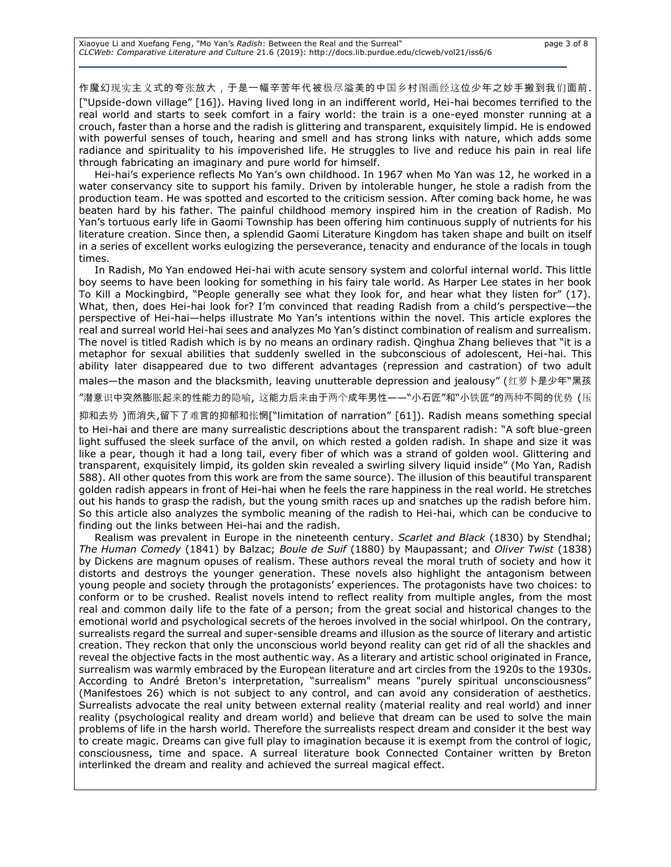Xiaoyue Li and Xuefang Feng, "Mo Yan's Radish: Between the Real and the Surreal" **page 3 of 8** page 3 of 8 *CLCWeb: Comparative Literature and Culture* 21.6 (2019): http://docs.lib.purdue.edu/clcweb/vol21/iss6/6

作魔幻现实主义式的夸张放大,于是一幅辛苦年代被极尽溢美的中国乡村图画经这位少年之妙手搬到我们面前. ["Upside-down village" [16]). Having lived long in an indifferent world, Hei-hai becomes terrified to the real world and starts to seek comfort in a fairy world: the train is a one-eyed monster running at a crouch, faster than a horse and the radish is glittering and transparent, exquisitely limpid. He is endowed with powerful senses of touch, hearing and smell and has strong links with nature, which adds some radiance and spirituality to his impoverished life. He struggles to live and reduce his pain in real life through fabricating an imaginary and pure world for himself.

Hei-hai's experience reflects Mo Yan's own childhood. In 1967 when Mo Yan was 12, he worked in a water conservancy site to support his family. Driven by intolerable hunger, he stole a radish from the production team. He was spotted and escorted to the criticism session. After coming back home, he was beaten hard by his father. The painful childhood memory inspired him in the creation of Radish. Mo Yan's tortuous early life in Gaomi Township has been offering him continuous supply of nutrients for his literature creation. Since then, a splendid Gaomi Literature Kingdom has taken shape and built on itself in a series of excellent works eulogizing the perseverance, tenacity and endurance of the locals in tough times.

In Radish, Mo Yan endowed Hei-hai with acute sensory system and colorful internal world. This little boy seems to have been looking for something in his fairy tale world. As Harper Lee states in her book To Kill a Mockingbird, "People generally see what they look for, and hear what they listen for" (17). What, then, does Hei-hai look for? I'm convinced that reading Radish from a child's perspective—the perspective of Hei-hai—helps illustrate Mo Yan's intentions within the novel. This article explores the real and surreal world Hei-hai sees and analyzes Mo Yan's distinct combination of realism and surrealism. The novel is titled Radish which is by no means an ordinary radish. Qinghua Zhang believes that "it is a metaphor for sexual abilities that suddenly swelled in the subconscious of adolescent, Hei-hai. This ability later disappeared due to two different advantages (repression and castration) of two adult males—the mason and the blacksmith, leaving unutterable depression and jealousy" (红萝卜是少年"黑孩

"潜意识中突然膨胀起来的性能力的隐喻, 这能力后来由于两个成年男性——"小石匠"和"小铁匠"的两种不同的优势 (压

抑和去势 )而消失,留下了难言的抑郁和怅惘["limitation of narration" [61]). Radish means something special

to Hei-hai and there are many surrealistic descriptions about the transparent radish: "A soft blue-green light suffused the sleek surface of the anvil, on which rested a golden radish. In shape and size it was like a pear, though it had a long tail, every fiber of which was a strand of golden wool. Glittering and transparent, exquisitely limpid, its golden skin revealed a swirling silvery liquid inside" (Mo Yan, Radish 588). All other quotes from this work are from the same source). The illusion of this beautiful transparent golden radish appears in front of Hei-hai when he feels the rare happiness in the real world. He stretches out his hands to grasp the radish, but the young smith races up and snatches up the radish before him. So this article also analyzes the symbolic meaning of the radish to Hei-hai, which can be conducive to finding out the links between Hei-hai and the radish.

Realism was prevalent in Europe in the nineteenth century. *Scarlet and Black* (1830) by Stendhal; *The Human Comedy* (1841) by Balzac; *Boule de Suif* (1880) by Maupassant; and *Oliver Twist* (1838) by Dickens are magnum opuses of realism. These authors reveal the moral truth of society and how it distorts and destroys the younger generation. These novels also highlight the antagonism between young people and society through the protagonists' experiences. The protagonists have two choices: to conform or to be crushed. Realist novels intend to reflect reality from multiple angles, from the most real and common daily life to the fate of a person; from the great social and historical changes to the emotional world and psychological secrets of the heroes involved in the social whirlpool. On the contrary, surrealists regard the surreal and super-sensible dreams and illusion as the source of literary and artistic creation. They reckon that only the unconscious world beyond reality can get rid of all the shackles and reveal the objective facts in the most authentic way. As a literary and artistic school originated in France, surrealism was warmly embraced by the European literature and art circles from the 1920s to the 1930s. According to André Breton's interpretation, "surrealism" means "purely spiritual unconsciousness" (Manifestoes 26) which is not subject to any control, and can avoid any consideration of aesthetics. Surrealists advocate the real unity between external reality (material reality and real world) and inner reality (psychological reality and dream world) and believe that dream can be used to solve the main problems of life in the harsh world. Therefore the surrealists respect dream and consider it the best way to create magic. Dreams can give full play to imagination because it is exempt from the control of logic, consciousness, time and space. A surreal literature book Connected Container written by Breton interlinked the dream and reality and achieved the surreal magical effect.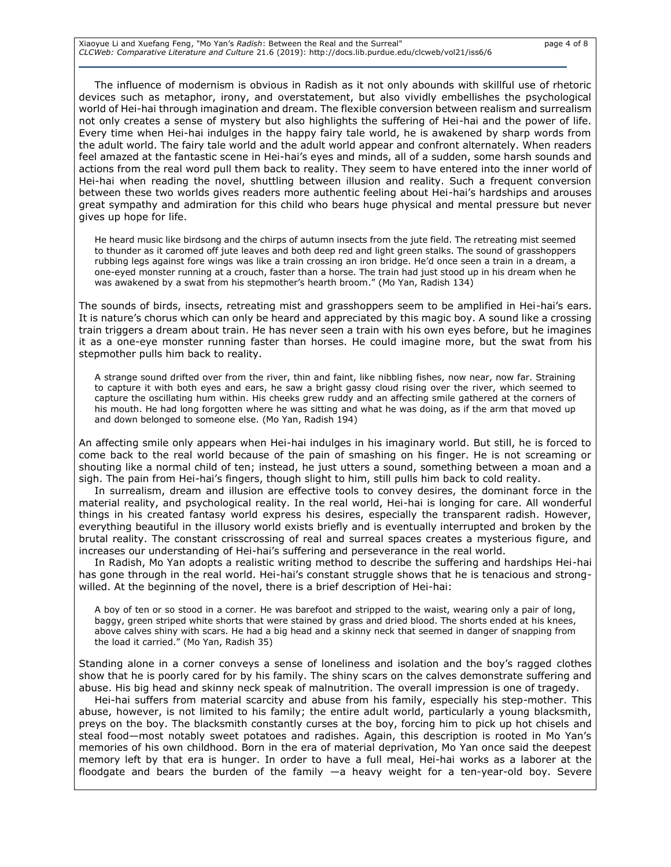Xiaoyue Li and Xuefang Feng, "Mo Yan's Radish: Between the Real and the Surreal" **page 4 of 8** page 4 of 8 *CLCWeb: Comparative Literature and Culture* 21.6 (2019): http://docs.lib.purdue.edu/clcweb/vol21/iss6/6

The influence of modernism is obvious in Radish as it not only abounds with skillful use of rhetoric devices such as metaphor, irony, and overstatement, but also vividly embellishes the psychological world of Hei-hai through imagination and dream. The flexible conversion between realism and surrealism not only creates a sense of mystery but also highlights the suffering of Hei-hai and the power of life. Every time when Hei-hai indulges in the happy fairy tale world, he is awakened by sharp words from the adult world. The fairy tale world and the adult world appear and confront alternately. When readers feel amazed at the fantastic scene in Hei-hai's eyes and minds, all of a sudden, some harsh sounds and actions from the real word pull them back to reality. They seem to have entered into the inner world of Hei-hai when reading the novel, shuttling between illusion and reality. Such a frequent conversion between these two worlds gives readers more authentic feeling about Hei-hai's hardships and arouses great sympathy and admiration for this child who bears huge physical and mental pressure but never gives up hope for life.

He heard music like birdsong and the chirps of autumn insects from the jute field. The retreating mist seemed to thunder as it caromed off jute leaves and both deep red and light green stalks. The sound of grasshoppers rubbing legs against fore wings was like a train crossing an iron bridge. He'd once seen a train in a dream, a one-eyed monster running at a crouch, faster than a horse. The train had just stood up in his dream when he was awakened by a swat from his stepmother's hearth broom." (Mo Yan, Radish 134)

The sounds of birds, insects, retreating mist and grasshoppers seem to be amplified in Hei-hai's ears. It is nature's chorus which can only be heard and appreciated by this magic boy. A sound like a crossing train triggers a dream about train. He has never seen a train with his own eyes before, but he imagines it as a one-eye monster running faster than horses. He could imagine more, but the swat from his stepmother pulls him back to reality.

A strange sound drifted over from the river, thin and faint, like nibbling fishes, now near, now far. Straining to capture it with both eyes and ears, he saw a bright gassy cloud rising over the river, which seemed to capture the oscillating hum within. His cheeks grew ruddy and an affecting smile gathered at the corners of his mouth. He had long forgotten where he was sitting and what he was doing, as if the arm that moved up and down belonged to someone else. (Mo Yan, Radish 194)

An affecting smile only appears when Hei-hai indulges in his imaginary world. But still, he is forced to come back to the real world because of the pain of smashing on his finger. He is not screaming or shouting like a normal child of ten; instead, he just utters a sound, something between a moan and a sigh. The pain from Hei-hai's fingers, though slight to him, still pulls him back to cold reality.

In surrealism, dream and illusion are effective tools to convey desires, the dominant force in the material reality, and psychological reality. In the real world, Hei-hai is longing for care. All wonderful things in his created fantasy world express his desires, especially the transparent radish. However, everything beautiful in the illusory world exists briefly and is eventually interrupted and broken by the brutal reality. The constant crisscrossing of real and surreal spaces creates a mysterious figure, and increases our understanding of Hei-hai's suffering and perseverance in the real world.

In Radish, Mo Yan adopts a realistic writing method to describe the suffering and hardships Hei-hai has gone through in the real world. Hei-hai's constant struggle shows that he is tenacious and strongwilled. At the beginning of the novel, there is a brief description of Hei-hai:

A boy of ten or so stood in a corner. He was barefoot and stripped to the waist, wearing only a pair of long, baggy, green striped white shorts that were stained by grass and dried blood. The shorts ended at his knees, above calves shiny with scars. He had a big head and a skinny neck that seemed in danger of snapping from the load it carried." (Mo Yan, Radish 35)

Standing alone in a corner conveys a sense of loneliness and isolation and the boy's ragged clothes show that he is poorly cared for by his family. The shiny scars on the calves demonstrate suffering and abuse. His big head and skinny neck speak of malnutrition. The overall impression is one of tragedy.

Hei-hai suffers from material scarcity and abuse from his family, especially his step-mother. This abuse, however, is not limited to his family; the entire adult world, particularly a young blacksmith, preys on the boy. The blacksmith constantly curses at the boy, forcing him to pick up hot chisels and steal food—most notably sweet potatoes and radishes. Again, this description is rooted in Mo Yan's memories of his own childhood. Born in the era of material deprivation, Mo Yan once said the deepest memory left by that era is hunger. In order to have a full meal, Hei-hai works as a laborer at the floodgate and bears the burden of the family —a heavy weight for a ten-year-old boy. Severe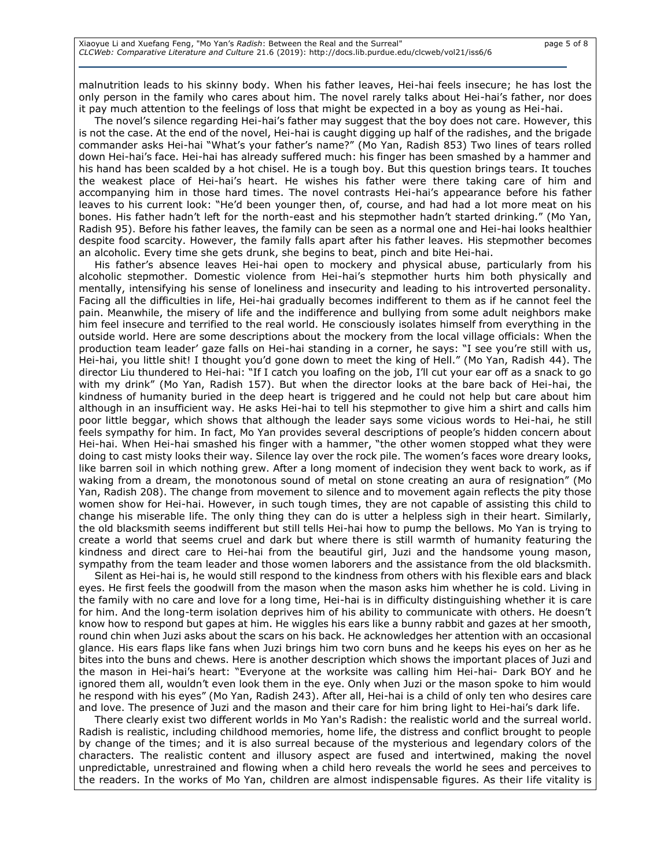malnutrition leads to his skinny body. When his father leaves, Hei-hai feels insecure; he has lost the only person in the family who cares about him. The novel rarely talks about Hei-hai's father, nor does it pay much attention to the feelings of loss that might be expected in a boy as young as Hei-hai.

The novel's silence regarding Hei-hai's father may suggest that the boy does not care. However, this is not the case. At the end of the novel, Hei-hai is caught digging up half of the radishes, and the brigade commander asks Hei-hai "What's your father's name?" (Mo Yan, Radish 853) Two lines of tears rolled down Hei-hai's face. Hei-hai has already suffered much: his finger has been smashed by a hammer and his hand has been scalded by a hot chisel. He is a tough boy. But this question brings tears. It touches the weakest place of Hei-hai's heart. He wishes his father were there taking care of him and accompanying him in those hard times. The novel contrasts Hei-hai's appearance before his father leaves to his current look: "He'd been younger then, of, course, and had had a lot more meat on his bones. His father hadn't left for the north-east and his stepmother hadn't started drinking." (Mo Yan, Radish 95). Before his father leaves, the family can be seen as a normal one and Hei-hai looks healthier despite food scarcity. However, the family falls apart after his father leaves. His stepmother becomes an alcoholic. Every time she gets drunk, she begins to beat, pinch and bite Hei-hai.

His father's absence leaves Hei-hai open to mockery and physical abuse, particularly from his alcoholic stepmother. Domestic violence from Hei-hai's stepmother hurts him both physically and mentally, intensifying his sense of loneliness and insecurity and leading to his introverted personality. Facing all the difficulties in life, Hei-hai gradually becomes indifferent to them as if he cannot feel the pain. Meanwhile, the misery of life and the indifference and bullying from some adult neighbors make him feel insecure and terrified to the real world. He consciously isolates himself from everything in the outside world. Here are some descriptions about the mockery from the local village officials: When the production team leader' gaze falls on Hei-hai standing in a corner, he says: "I see you're still with us, Hei-hai, you little shit! I thought you'd gone down to meet the king of Hell." (Mo Yan, Radish 44). The director Liu thundered to Hei-hai: "If I catch you loafing on the job, I'll cut your ear off as a snack to go with my drink" (Mo Yan, Radish 157). But when the director looks at the bare back of Hei-hai, the kindness of humanity buried in the deep heart is triggered and he could not help but care about him although in an insufficient way. He asks Hei-hai to tell his stepmother to give him a shirt and calls him poor little beggar, which shows that although the leader says some vicious words to Hei-hai, he still feels sympathy for him. In fact, Mo Yan provides several descriptions of people's hidden concern about Hei-hai. When Hei-hai smashed his finger with a hammer, "the other women stopped what they were doing to cast misty looks their way. Silence lay over the rock pile. The women's faces wore dreary looks, like barren soil in which nothing grew. After a long moment of indecision they went back to work, as if waking from a dream, the monotonous sound of metal on stone creating an aura of resignation" (Mo Yan, Radish 208). The change from movement to silence and to movement again reflects the pity those women show for Hei-hai. However, in such tough times, they are not capable of assisting this child to change his miserable life. The only thing they can do is utter a helpless sigh in their heart. Similarly, the old blacksmith seems indifferent but still tells Hei-hai how to pump the bellows. Mo Yan is trying to create a world that seems cruel and dark but where there is still warmth of humanity featuring the kindness and direct care to Hei-hai from the beautiful girl, Juzi and the handsome young mason, sympathy from the team leader and those women laborers and the assistance from the old blacksmith.

Silent as Hei-hai is, he would still respond to the kindness from others with his flexible ears and black eyes. He first feels the goodwill from the mason when the mason asks him whether he is cold. Living in the family with no care and love for a long time, Hei-hai is in difficulty distinguishing whether it is care for him. And the long-term isolation deprives him of his ability to communicate with others. He doesn't know how to respond but gapes at him. He wiggles his ears like a bunny rabbit and gazes at her smooth, round chin when Juzi asks about the scars on his back. He acknowledges her attention with an occasional glance. His ears flaps like fans when Juzi brings him two corn buns and he keeps his eyes on her as he bites into the buns and chews. Here is another description which shows the important places of Juzi and the mason in Hei-hai's heart: "Everyone at the worksite was calling him Hei-hai- Dark BOY and he ignored them all, wouldn't even look them in the eye. Only when Juzi or the mason spoke to him would he respond with his eyes" (Mo Yan, Radish 243). After all, Hei-hai is a child of only ten who desires care and love. The presence of Juzi and the mason and their care for him bring light to Hei-hai's dark life.

There clearly exist two different worlds in Mo Yan's Radish: the realistic world and the surreal world. Radish is realistic, including childhood memories, home life, the distress and conflict brought to people by change of the times; and it is also surreal because of the mysterious and legendary colors of the characters. The realistic content and illusory aspect are fused and intertwined, making the novel unpredictable, unrestrained and flowing when a child hero reveals the world he sees and perceives to the readers. In the works of Mo Yan, children are almost indispensable figures. As their life vitality is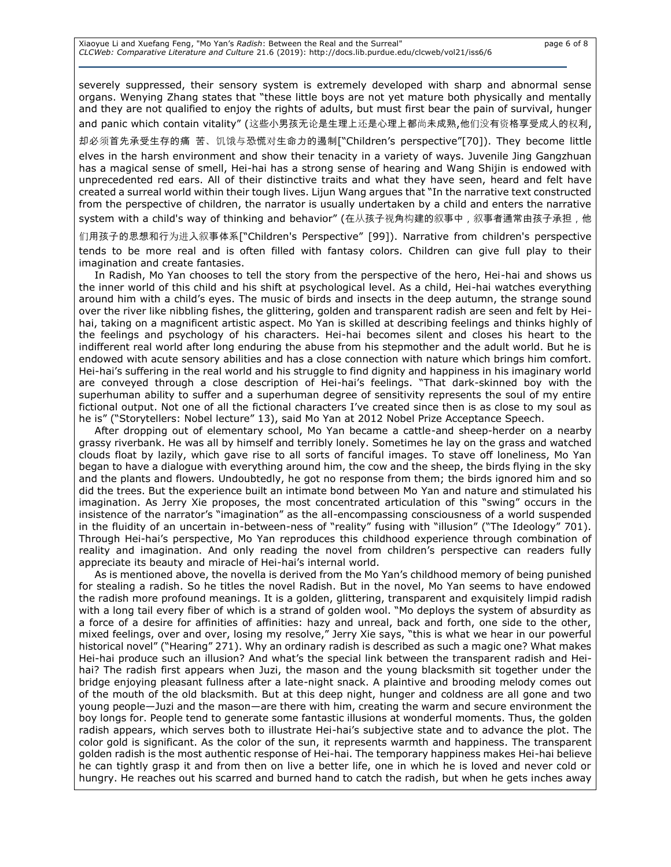Xiaoyue Li and Xuefang Feng, "Mo Yan's Radish: Between the Real and the Surreal" **page 6 of 8** page 6 of 8 *CLCWeb: Comparative Literature and Culture* 21.6 (2019): http://docs.lib.purdue.edu/clcweb/vol21/iss6/6

severely suppressed, their sensory system is extremely developed with sharp and abnormal sense organs. Wenying Zhang states that "these little boys are not yet mature both physically and mentally and they are not qualified to enjoy the rights of adults, but must first bear the pain of survival, hunger and panic which contain vitality" (这些小男孩无论是生理上还是心理上都尚未成熟,他们没有资格享受成人的权利,

却必须首先承受生存的痛 苦、饥饿与恐慌对生命力的遏制["Children's perspective"[70]). They become little elves in the harsh environment and show their tenacity in a variety of ways. Juvenile Jing Gangzhuan has a magical sense of smell, Hei-hai has a strong sense of hearing and Wang Shijin is endowed with unprecedented red ears. All of their distinctive traits and what they have seen, heard and felt have created a surreal world within their tough lives. Lijun Wang argues that "In the narrative text constructed from the perspective of children, the narrator is usually undertaken by a child and enters the narrative

system with a child's way of thinking and behavior" (在从孩子视角构建的叙事中, 叙事者通常由孩子承担, 他

们用孩子的思想和行为进入叙事体系["Children's Perspective" [99]). Narrative from children's perspective tends to be more real and is often filled with fantasy colors. Children can give full play to their imagination and create fantasies.

In Radish, Mo Yan chooses to tell the story from the perspective of the hero, Hei-hai and shows us the inner world of this child and his shift at psychological level. As a child, Hei-hai watches everything around him with a child's eyes. The music of birds and insects in the deep autumn, the strange sound over the river like nibbling fishes, the glittering, golden and transparent radish are seen and felt by Heihai, taking on a magnificent artistic aspect. Mo Yan is skilled at describing feelings and thinks highly of the feelings and psychology of his characters. Hei-hai becomes silent and closes his heart to the indifferent real world after long enduring the abuse from his stepmother and the adult world. But he is endowed with acute sensory abilities and has a close connection with nature which brings him comfort. Hei-hai's suffering in the real world and his struggle to find dignity and happiness in his imaginary world are conveyed through a close description of Hei-hai's feelings. "That dark-skinned boy with the superhuman ability to suffer and a superhuman degree of sensitivity represents the soul of my entire fictional output. Not one of all the fictional characters I've created since then is as close to my soul as he is" ("Storytellers: Nobel lecture" 13), said Mo Yan at 2012 Nobel Prize Acceptance Speech.

After dropping out of elementary school, Mo Yan became a cattle-and sheep-herder on a nearby grassy riverbank. He was all by himself and terribly lonely. Sometimes he lay on the grass and watched clouds float by lazily, which gave rise to all sorts of fanciful images. To stave off loneliness, Mo Yan began to have a dialogue with everything around him, the cow and the sheep, the birds flying in the sky and the plants and flowers. Undoubtedly, he got no response from them; the birds ignored him and so did the trees. But the experience built an intimate bond between Mo Yan and nature and stimulated his imagination. As Jerry Xie proposes, the most concentrated articulation of this "swing" occurs in the insistence of the narrator's "imagination" as the all-encompassing consciousness of a world suspended in the fluidity of an uncertain in-between-ness of "reality" fusing with "illusion" ("The Ideology" 701). Through Hei-hai's perspective, Mo Yan reproduces this childhood experience through combination of reality and imagination. And only reading the novel from children's perspective can readers fully appreciate its beauty and miracle of Hei-hai's internal world.

As is mentioned above, the novella is derived from the Mo Yan's childhood memory of being punished for stealing a radish. So he titles the novel Radish. But in the novel, Mo Yan seems to have endowed the radish more profound meanings. It is a golden, glittering, transparent and exquisitely limpid radish with a long tail every fiber of which is a strand of golden wool. "Mo deploys the system of absurdity as a force of a desire for affinities of affinities: hazy and unreal, back and forth, one side to the other, mixed feelings, over and over, losing my resolve," Jerry Xie says, "this is what we hear in our powerful historical novel" ("Hearing" 271). Why an ordinary radish is described as such a magic one? What makes Hei-hai produce such an illusion? And what's the special link between the transparent radish and Heihai? The radish first appears when Juzi, the mason and the young blacksmith sit together under the bridge enjoying pleasant fullness after a late-night snack. A plaintive and brooding melody comes out of the mouth of the old blacksmith. But at this deep night, hunger and coldness are all gone and two young people—Juzi and the mason—are there with him, creating the warm and secure environment the boy longs for. People tend to generate some fantastic illusions at wonderful moments. Thus, the golden radish appears, which serves both to illustrate Hei-hai's subjective state and to advance the plot. The color gold is significant. As the color of the sun, it represents warmth and happiness. The transparent golden radish is the most authentic response of Hei-hai. The temporary happiness makes Hei-hai believe he can tightly grasp it and from then on live a better life, one in which he is loved and never cold or hungry. He reaches out his scarred and burned hand to catch the radish, but when he gets inches away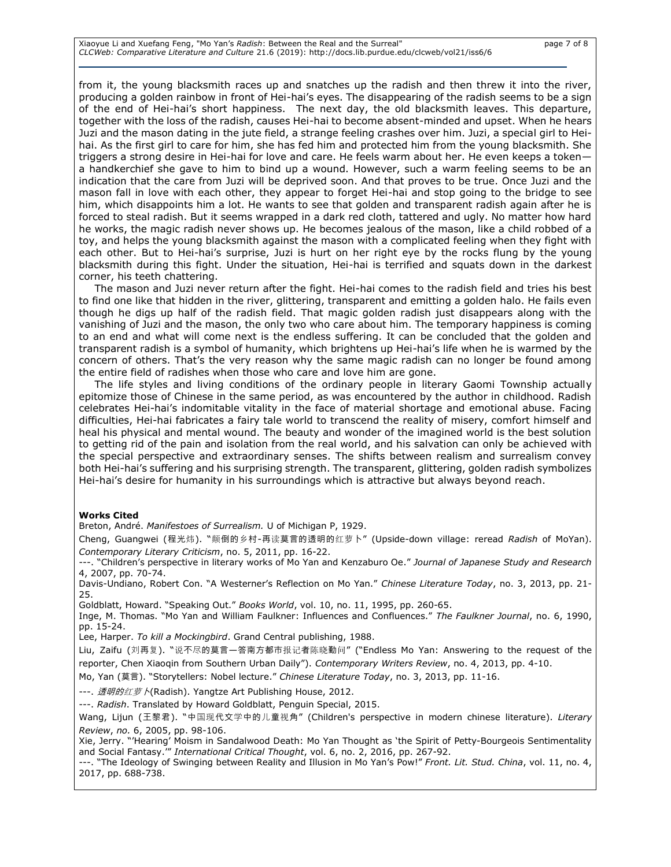Xiaoyue Li and Xuefang Feng, "Mo Yan's Radish: Between the Real and the Surreal" **page 7 of 8** page 7 of 8 *CLCWeb: Comparative Literature and Culture* 21.6 (2019): http://docs.lib.purdue.edu/clcweb/vol21/iss6/6

from it, the young blacksmith races up and snatches up the radish and then threw it into the river, producing a golden rainbow in front of Hei-hai's eyes. The disappearing of the radish seems to be a sign of the end of Hei-hai's short happiness. The next day, the old blacksmith leaves. This departure, together with the loss of the radish, causes Hei-hai to become absent-minded and upset. When he hears Juzi and the mason dating in the jute field, a strange feeling crashes over him. Juzi, a special girl to Heihai. As the first girl to care for him, she has fed him and protected him from the young blacksmith. She triggers a strong desire in Hei-hai for love and care. He feels warm about her. He even keeps a token a handkerchief she gave to him to bind up a wound. However, such a warm feeling seems to be an indication that the care from Juzi will be deprived soon. And that proves to be true. Once Juzi and the mason fall in love with each other, they appear to forget Hei-hai and stop going to the bridge to see him, which disappoints him a lot. He wants to see that golden and transparent radish again after he is forced to steal radish. But it seems wrapped in a dark red cloth, tattered and ugly. No matter how hard he works, the magic radish never shows up. He becomes jealous of the mason, like a child robbed of a toy, and helps the young blacksmith against the mason with a complicated feeling when they fight with each other. But to Hei-hai's surprise, Juzi is hurt on her right eye by the rocks flung by the young blacksmith during this fight. Under the situation, Hei-hai is terrified and squats down in the darkest corner, his teeth chattering.

The mason and Juzi never return after the fight. Hei-hai comes to the radish field and tries his best to find one like that hidden in the river, glittering, transparent and emitting a golden halo. He fails even though he digs up half of the radish field. That magic golden radish just disappears along with the vanishing of Juzi and the mason, the only two who care about him. The temporary happiness is coming to an end and what will come next is the endless suffering. It can be concluded that the golden and transparent radish is a symbol of humanity, which brightens up Hei-hai's life when he is warmed by the concern of others. That's the very reason why the same magic radish can no longer be found among the entire field of radishes when those who care and love him are gone.

The life styles and living conditions of the ordinary people in literary Gaomi Township actually epitomize those of Chinese in the same period, as was encountered by the author in childhood. Radish celebrates Hei-hai's indomitable vitality in the face of material shortage and emotional abuse. Facing difficulties, Hei-hai fabricates a fairy tale world to transcend the reality of misery, comfort himself and heal his physical and mental wound. The beauty and wonder of the imagined world is the best solution to getting rid of the pain and isolation from the real world, and his salvation can only be achieved with the special perspective and extraordinary senses. The shifts between realism and surrealism convey both Hei-hai's suffering and his surprising strength. The transparent, glittering, golden radish symbolizes Hei-hai's desire for humanity in his surroundings which is attractive but always beyond reach.

#### **Works Cited**

Breton, André. *Manifestoes of Surrealism.* U of Michigan P, 1929.

Cheng, Guangwei (程光炜). "颠倒的乡村-再读莫言的透明的红萝卜" (Upside-down village: reread *Radish* of MoYan). *Contemporary Literary Criticism*, no. 5, 2011, pp. 16-22.

---. "Children's perspective in literary works of Mo Yan and Kenzaburo Oe." *Journal of Japanese Study and Research*  4, 2007, pp. 70-74.

Davis-Undiano, Robert Con. "A Westerner's Reflection on Mo Yan." *Chinese Literature Today*, no. 3, 2013, pp. 21- 25.

Goldblatt, Howard. "Speaking Out." *Books World*, vol. 10, no. 11, 1995, pp. 260-65.

Inge, M. Thomas. "Mo Yan and William Faulkner: Influences and Confluences." *The Faulkner Journal*, no. 6, 1990, pp. 15-24.

Lee, Harper. *To kill a Mockingbird*. Grand Central publishing, 1988.

Liu, Zaifu (刘再复). "说不尽的莫言—答南方都市报记者陈晓勤问" ("Endless Mo Yan: Answering to the request of the reporter, Chen Xiaoqin from Southern Urban Daily"). *Contemporary Writers Review*, no. 4, 2013, pp. 4-10.

Mo, Yan (莫言). "Storytellers: Nobel lecture." *Chinese Literature Today*, no. 3, 2013, pp. 11-16.

---. 透明的红萝卜(Radish). Yangtze Art Publishing House, 2012.

---. *Radish*. Translated by Howard Goldblatt, Penguin Special, 2015.

Wang, Lijun (王黎君). "中国现代文学中的儿童视角" (Children's perspective in modern chinese literature). *Literary Review*, *no.* 6, 2005, pp. 98-106.

Xie, Jerry. "'Hearing' Moism in Sandalwood Death: Mo Yan Thought as 'the Spirit of Petty-Bourgeois Sentimentality and Social Fantasy.'" *International Critical Thought*, vol. 6, no. 2, 2016, pp. 267-92.

---. "The Ideology of Swinging between Reality and Illusion in Mo Yan's Pow!" *Front. Lit. Stud. China*, vol. 11, no. 4, 2017, pp. 688-738.